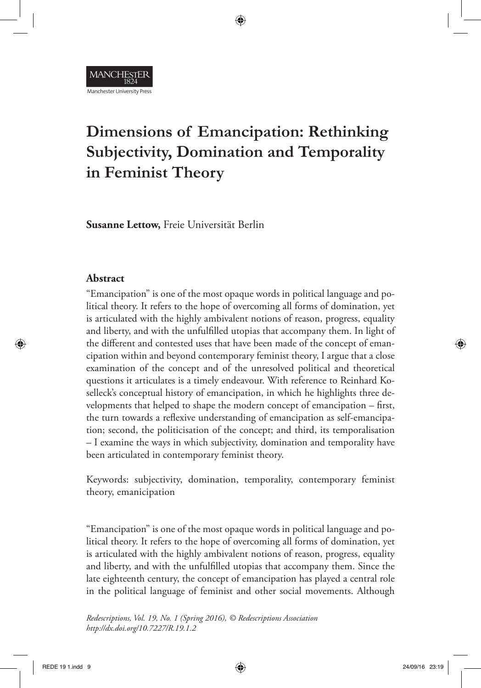**MANCHE** Manchester University Press

# **Dimensions of Emancipation: Rethinking Subjectivity, Domination and Temporality in Feminist Theory**

⊕

**Susanne Lettow,** Freie Universität Berlin

# **Abstract**

⊕

"Emancipation" is one of the most opaque words in political language and political theory. It refers to the hope of overcoming all forms of domination, yet is articulated with the highly ambivalent notions of reason, progress, equality and liberty, and with the unfulfilled utopias that accompany them. In light of the different and contested uses that have been made of the concept of emancipation within and beyond contemporary feminist theory, I argue that a close examination of the concept and of the unresolved political and theoretical questions it articulates is a timely endeavour. With reference to Reinhard Koselleck's conceptual history of emancipation, in which he highlights three developments that helped to shape the modern concept of emancipation – first, the turn towards a reflexive understanding of emancipation as self-emancipation; second, the politicisation of the concept; and third, its temporalisation – I examine the ways in which subjectivity, domination and temporality have been articulated in contemporary feminist theory.

Keywords: subjectivity, domination, temporality, contemporary feminist theory, emanicipation

"Emancipation" is one of the most opaque words in political language and political theory. It refers to the hope of overcoming all forms of domination, yet is articulated with the highly ambivalent notions of reason, progress, equality and liberty, and with the unfulfilled utopias that accompany them. Since the late eighteenth century, the concept of emancipation has played a central role in the political language of feminist and other social movements. Although

*Redescriptions, Vol. 19, No. 1 (Spring 2016), © Redescriptions Association http://dx.doi.org/10.7227/R.19.1.2*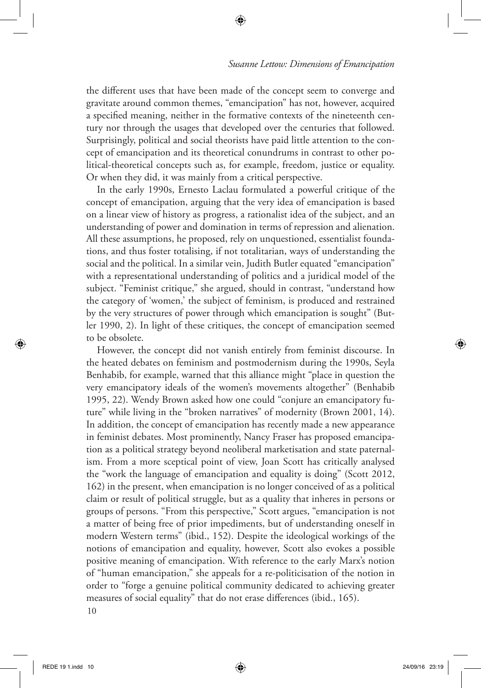the different uses that have been made of the concept seem to converge and gravitate around common themes, "emancipation" has not, however, acquired a specified meaning, neither in the formative contexts of the nineteenth century nor through the usages that developed over the centuries that followed. Surprisingly, political and social theorists have paid little attention to the concept of emancipation and its theoretical conundrums in contrast to other political-theoretical concepts such as, for example, freedom, justice or equality. Or when they did, it was mainly from a critical perspective.

⊕

In the early 1990s, Ernesto Laclau formulated a powerful critique of the concept of emancipation, arguing that the very idea of emancipation is based on a linear view of history as progress, a rationalist idea of the subject, and an understanding of power and domination in terms of repression and alienation. All these assumptions, he proposed, rely on unquestioned, essentialist foundations, and thus foster totalising, if not totalitarian, ways of understanding the social and the political. In a similar vein, Judith Butler equated "emancipation" with a representational understanding of politics and a juridical model of the subject. "Feminist critique," she argued, should in contrast, "understand how the category of 'women,' the subject of feminism, is produced and restrained by the very structures of power through which emancipation is sought" (Butler 1990, 2). In light of these critiques, the concept of emancipation seemed to be obsolete.

However, the concept did not vanish entirely from feminist discourse. In the heated debates on feminism and postmodernism during the 1990s, Seyla Benhabib, for example, warned that this alliance might "place in question the very emancipatory ideals of the women's movements altogether" (Benhabib 1995, 22). Wendy Brown asked how one could "conjure an emancipatory future" while living in the "broken narratives" of modernity (Brown 2001, 14). In addition, the concept of emancipation has recently made a new appearance in feminist debates. Most prominently, Nancy Fraser has proposed emancipation as a political strategy beyond neoliberal marketisation and state paternalism. From a more sceptical point of view, Joan Scott has critically analysed the "work the language of emancipation and equality is doing" (Scott 2012, 162) in the present, when emancipation is no longer conceived of as a political claim or result of political struggle, but as a quality that inheres in persons or groups of persons. "From this perspective," Scott argues, "emancipation is not a matter of being free of prior impediments, but of understanding oneself in modern Western terms" (ibid., 152). Despite the ideological workings of the notions of emancipation and equality, however, Scott also evokes a possible positive meaning of emancipation. With reference to the early Marx's notion of "human emancipation," she appeals for a re-politicisation of the notion in order to "forge a genuine political community dedicated to achieving greater measures of social equality" that do not erase differences (ibid., 165).

10

⊕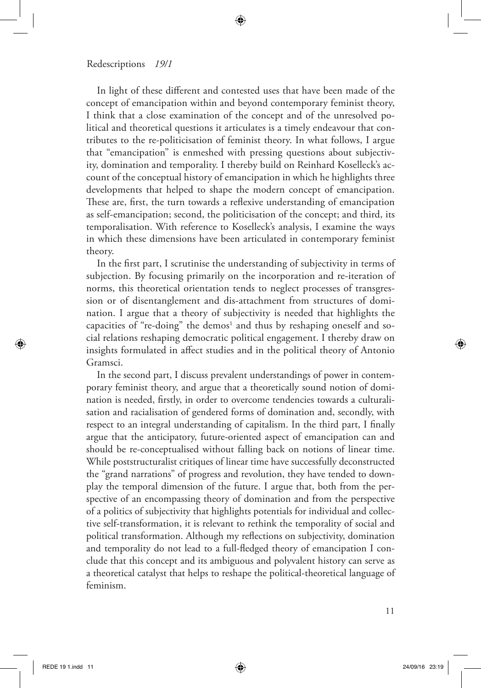In light of these different and contested uses that have been made of the concept of emancipation within and beyond contemporary feminist theory, I think that a close examination of the concept and of the unresolved political and theoretical questions it articulates is a timely endeavour that contributes to the re-politicisation of feminist theory. In what follows, I argue that "emancipation" is enmeshed with pressing questions about subjectivity, domination and temporality. I thereby build on Reinhard Koselleck's account of the conceptual history of emancipation in which he highlights three developments that helped to shape the modern concept of emancipation. These are, first, the turn towards a reflexive understanding of emancipation as self-emancipation; second, the politicisation of the concept; and third, its temporalisation. With reference to Koselleck's analysis, I examine the ways in which these dimensions have been articulated in contemporary feminist theory.

↔

In the first part, I scrutinise the understanding of subjectivity in terms of subjection. By focusing primarily on the incorporation and re-iteration of norms, this theoretical orientation tends to neglect processes of transgression or of disentanglement and dis-attachment from structures of domination. I argue that a theory of subjectivity is needed that highlights the capacities of "re-doing" the demos<sup>1</sup> and thus by reshaping oneself and social relations reshaping democratic political engagement. I thereby draw on insights formulated in affect studies and in the political theory of Antonio Gramsci.

In the second part, I discuss prevalent understandings of power in contemporary feminist theory, and argue that a theoretically sound notion of domination is needed, firstly, in order to overcome tendencies towards a culturalisation and racialisation of gendered forms of domination and, secondly, with respect to an integral understanding of capitalism. In the third part, I finally argue that the anticipatory, future-oriented aspect of emancipation can and should be re-conceptualised without falling back on notions of linear time. While poststructuralist critiques of linear time have successfully deconstructed the "grand narrations" of progress and revolution, they have tended to downplay the temporal dimension of the future. I argue that, both from the perspective of an encompassing theory of domination and from the perspective of a politics of subjectivity that highlights potentials for individual and collective self-transformation, it is relevant to rethink the temporality of social and political transformation. Although my reflections on subjectivity, domination and temporality do not lead to a full-fledged theory of emancipation I conclude that this concept and its ambiguous and polyvalent history can serve as a theoretical catalyst that helps to reshape the political-theoretical language of feminism.

⊕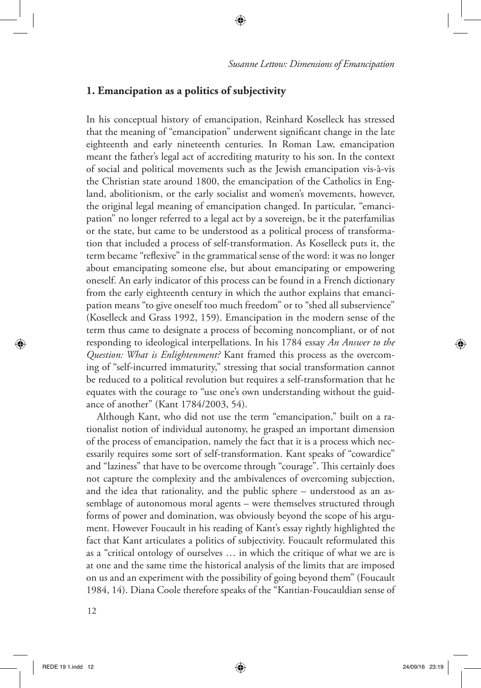# **1. Emancipation as a politics of subjectivity**

In his conceptual history of emancipation, Reinhard Koselleck has stressed that the meaning of "emancipation" underwent significant change in the late eighteenth and early nineteenth centuries. In Roman Law, emancipation meant the father's legal act of accrediting maturity to his son. In the context of social and political movements such as the Jewish emancipation vis-à-vis the Christian state around 1800, the emancipation of the Catholics in England, abolitionism, or the early socialist and women's movements, however, the original legal meaning of emancipation changed. In particular, "emancipation" no longer referred to a legal act by a sovereign, be it the paterfamilias or the state, but came to be understood as a political process of transformation that included a process of self-transformation. As Koselleck puts it, the term became "reflexive" in the grammatical sense of the word: it was no longer about emancipating someone else, but about emancipating or empowering oneself. An early indicator of this process can be found in a French dictionary from the early eighteenth century in which the author explains that emancipation means "to give oneself too much freedom" or to "shed all subservience" (Koselleck and Grass 1992, 159). Emancipation in the modern sense of the term thus came to designate a process of becoming noncompliant, or of not responding to ideological interpellations. In his 1784 essay *An Answer to the Question: What is Enlightenment?* Kant framed this process as the overcoming of "self-incurred immaturity," stressing that social transformation cannot be reduced to a political revolution but requires a self-transformation that he equates with the courage to "use one's own understanding without the guidance of another" (Kant 1784/2003, 54).

⊕

Although Kant, who did not use the term "emancipation," built on a rationalist notion of individual autonomy, he grasped an important dimension of the process of emancipation, namely the fact that it is a process which necessarily requires some sort of self-transformation. Kant speaks of "cowardice" and "laziness" that have to be overcome through "courage". This certainly does not capture the complexity and the ambivalences of overcoming subjection, and the idea that rationality, and the public sphere – understood as an assemblage of autonomous moral agents – were themselves structured through forms of power and domination, was obviously beyond the scope of his argument. However Foucault in his reading of Kant's essay rightly highlighted the fact that Kant articulates a politics of subjectivity. Foucault reformulated this as a "critical ontology of ourselves … in which the critique of what we are is at one and the same time the historical analysis of the limits that are imposed on us and an experiment with the possibility of going beyond them" (Foucault 1984, 14). Diana Coole therefore speaks of the "Kantian-Foucauldian sense of

⊕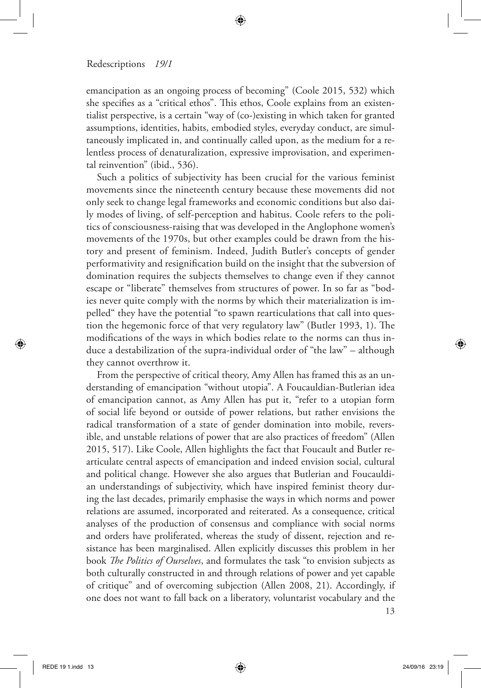emancipation as an ongoing process of becoming" (Coole 2015, 532) which she specifies as a "critical ethos". This ethos, Coole explains from an existentialist perspective, is a certain "way of (co-)existing in which taken for granted assumptions, identities, habits, embodied styles, everyday conduct, are simultaneously implicated in, and continually called upon, as the medium for a relentless process of denaturalization, expressive improvisation, and experimental reinvention" (ibid., 536).

↔

Such a politics of subjectivity has been crucial for the various feminist movements since the nineteenth century because these movements did not only seek to change legal frameworks and economic conditions but also daily modes of living, of self-perception and habitus. Coole refers to the politics of consciousness-raising that was developed in the Anglophone women's movements of the 1970s, but other examples could be drawn from the history and present of feminism. Indeed, Judith Butler's concepts of gender performativity and resignification build on the insight that the subversion of domination requires the subjects themselves to change even if they cannot escape or "liberate" themselves from structures of power. In so far as "bodies never quite comply with the norms by which their materialization is impelled" they have the potential "to spawn rearticulations that call into question the hegemonic force of that very regulatory law" (Butler 1993, 1). The modifications of the ways in which bodies relate to the norms can thus induce a destabilization of the supra-individual order of "the law" – although they cannot overthrow it.

13 From the perspective of critical theory, Amy Allen has framed this as an understanding of emancipation "without utopia". A Foucauldian-Butlerian idea of emancipation cannot, as Amy Allen has put it, "refer to a utopian form of social life beyond or outside of power relations, but rather envisions the radical transformation of a state of gender domination into mobile, reversible, and unstable relations of power that are also practices of freedom" (Allen 2015, 517). Like Coole, Allen highlights the fact that Foucault and Butler rearticulate central aspects of emancipation and indeed envision social, cultural and political change. However she also argues that Butlerian and Foucauldian understandings of subjectivity, which have inspired feminist theory during the last decades, primarily emphasise the ways in which norms and power relations are assumed, incorporated and reiterated. As a consequence, critical analyses of the production of consensus and compliance with social norms and orders have proliferated, whereas the study of dissent, rejection and resistance has been marginalised. Allen explicitly discusses this problem in her book *The Politics of Ourselves*, and formulates the task "to envision subjects as both culturally constructed in and through relations of power and yet capable of critique" and of overcoming subjection (Allen 2008, 21). Accordingly, if one does not want to fall back on a liberatory, voluntarist vocabulary and the

REDE 19 1.indd 13 24/09/16 23:19

⊕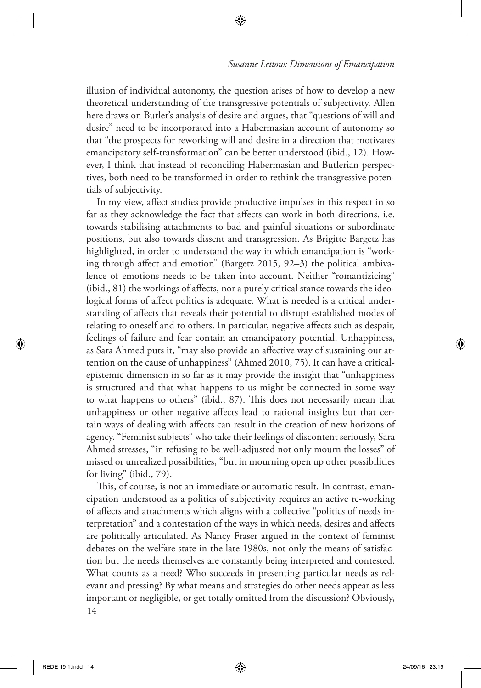illusion of individual autonomy, the question arises of how to develop a new theoretical understanding of the transgressive potentials of subjectivity. Allen here draws on Butler's analysis of desire and argues, that "questions of will and desire" need to be incorporated into a Habermasian account of autonomy so that "the prospects for reworking will and desire in a direction that motivates emancipatory self-transformation" can be better understood (ibid., 12). However, I think that instead of reconciling Habermasian and Butlerian perspectives, both need to be transformed in order to rethink the transgressive potentials of subjectivity.

⊕

In my view, affect studies provide productive impulses in this respect in so far as they acknowledge the fact that affects can work in both directions, i.e. towards stabilising attachments to bad and painful situations or subordinate positions, but also towards dissent and transgression. As Brigitte Bargetz has highlighted, in order to understand the way in which emancipation is "working through affect and emotion" (Bargetz 2015, 92–3) the political ambivalence of emotions needs to be taken into account. Neither "romantizicing" (ibid., 81) the workings of affects, nor a purely critical stance towards the ideological forms of affect politics is adequate. What is needed is a critical understanding of affects that reveals their potential to disrupt established modes of relating to oneself and to others. In particular, negative affects such as despair, feelings of failure and fear contain an emancipatory potential. Unhappiness, as Sara Ahmed puts it, "may also provide an affective way of sustaining our attention on the cause of unhappiness" (Ahmed 2010, 75). It can have a criticalepistemic dimension in so far as it may provide the insight that "unhappiness is structured and that what happens to us might be connected in some way to what happens to others" (ibid., 87). This does not necessarily mean that unhappiness or other negative affects lead to rational insights but that certain ways of dealing with affects can result in the creation of new horizons of agency. "Feminist subjects" who take their feelings of discontent seriously, Sara Ahmed stresses, "in refusing to be well-adjusted not only mourn the losses" of missed or unrealized possibilities, "but in mourning open up other possibilities for living" (ibid., 79).

14 This, of course, is not an immediate or automatic result. In contrast, emancipation understood as a politics of subjectivity requires an active re-working of affects and attachments which aligns with a collective "politics of needs interpretation" and a contestation of the ways in which needs, desires and affects are politically articulated. As Nancy Fraser argued in the context of feminist debates on the welfare state in the late 1980s, not only the means of satisfaction but the needs themselves are constantly being interpreted and contested. What counts as a need? Who succeeds in presenting particular needs as relevant and pressing? By what means and strategies do other needs appear as less important or negligible, or get totally omitted from the discussion? Obviously,

REDE 19 1.indd 14 24/09/16 23:19

⊕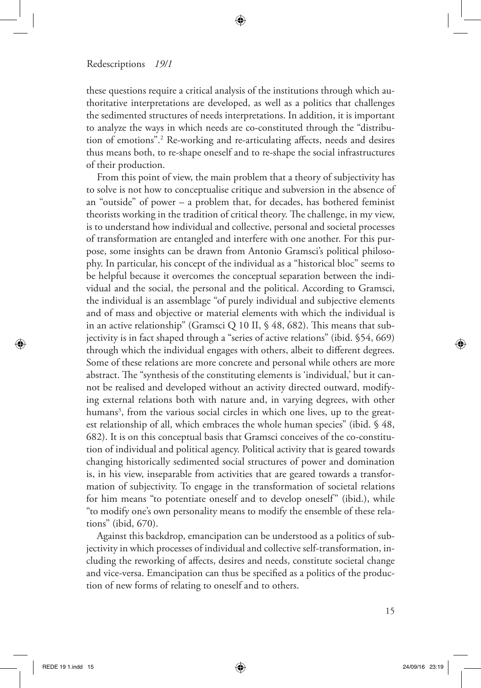these questions require a critical analysis of the institutions through which authoritative interpretations are developed, as well as a politics that challenges the sedimented structures of needs interpretations. In addition, it is important to analyze the ways in which needs are co-constituted through the "distribution of emotions".2 Re-working and re-articulating affects, needs and desires thus means both, to re-shape oneself and to re-shape the social infrastructures of their production.

⊕

From this point of view, the main problem that a theory of subjectivity has to solve is not how to conceptualise critique and subversion in the absence of an "outside" of power – a problem that, for decades, has bothered feminist theorists working in the tradition of critical theory. The challenge, in my view, is to understand how individual and collective, personal and societal processes of transformation are entangled and interfere with one another. For this purpose, some insights can be drawn from Antonio Gramsci's political philosophy. In particular, his concept of the individual as a "historical bloc" seems to be helpful because it overcomes the conceptual separation between the individual and the social, the personal and the political. According to Gramsci, the individual is an assemblage "of purely individual and subjective elements and of mass and objective or material elements with which the individual is in an active relationship" (Gramsci Q 10 II, § 48, 682). This means that subjectivity is in fact shaped through a "series of active relations" (ibid. §54, 669) through which the individual engages with others, albeit to different degrees. Some of these relations are more concrete and personal while others are more abstract. The "synthesis of the constituting elements is 'individual,' but it cannot be realised and developed without an activity directed outward, modifying external relations both with nature and, in varying degrees, with other humans<sup>3</sup>, from the various social circles in which one lives, up to the greatest relationship of all, which embraces the whole human species" (ibid. § 48, 682). It is on this conceptual basis that Gramsci conceives of the co-constitution of individual and political agency. Political activity that is geared towards changing historically sedimented social structures of power and domination is, in his view, inseparable from activities that are geared towards a transformation of subjectivity. To engage in the transformation of societal relations for him means "to potentiate oneself and to develop oneself" (ibid.), while "to modify one's own personality means to modify the ensemble of these relations" (ibid, 670).

Against this backdrop, emancipation can be understood as a politics of subjectivity in which processes of individual and collective self-transformation, including the reworking of affects, desires and needs, constitute societal change and vice-versa. Emancipation can thus be specified as a politics of the production of new forms of relating to oneself and to others.

⊕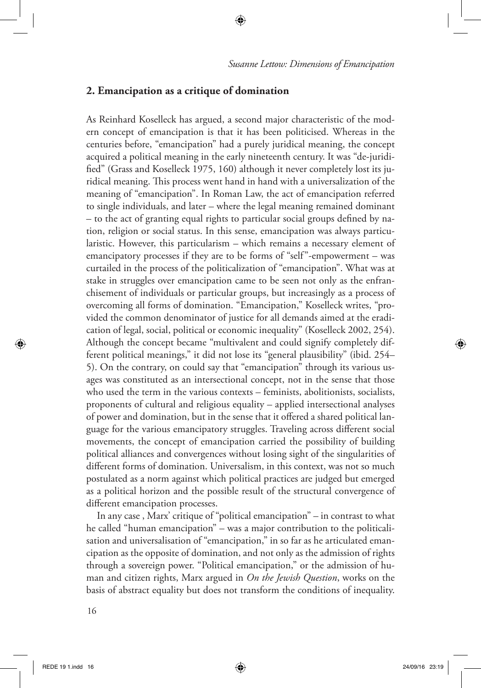# **2. Emancipation as a critique of domination**

As Reinhard Koselleck has argued, a second major characteristic of the modern concept of emancipation is that it has been politicised. Whereas in the centuries before, "emancipation" had a purely juridical meaning, the concept acquired a political meaning in the early nineteenth century. It was "de-juridified" (Grass and Koselleck 1975, 160) although it never completely lost its juridical meaning. This process went hand in hand with a universalization of the meaning of "emancipation". In Roman Law, the act of emancipation referred to single individuals, and later – where the legal meaning remained dominant – to the act of granting equal rights to particular social groups defined by nation, religion or social status. In this sense, emancipation was always particularistic. However, this particularism – which remains a necessary element of emancipatory processes if they are to be forms of "self"-empowerment – was curtailed in the process of the politicalization of "emancipation". What was at stake in struggles over emancipation came to be seen not only as the enfranchisement of individuals or particular groups, but increasingly as a process of overcoming all forms of domination. "Emancipation," Koselleck writes, "provided the common denominator of justice for all demands aimed at the eradication of legal, social, political or economic inequality" (Koselleck 2002, 254). Although the concept became "multivalent and could signify completely different political meanings," it did not lose its "general plausibility" (ibid. 254– 5). On the contrary, on could say that "emancipation" through its various usages was constituted as an intersectional concept, not in the sense that those who used the term in the various contexts – feminists, abolitionists, socialists, proponents of cultural and religious equality – applied intersectional analyses of power and domination, but in the sense that it offered a shared political language for the various emancipatory struggles. Traveling across different social movements, the concept of emancipation carried the possibility of building political alliances and convergences without losing sight of the singularities of different forms of domination. Universalism, in this context, was not so much postulated as a norm against which political practices are judged but emerged as a political horizon and the possible result of the structural convergence of different emancipation processes.

In any case , Marx' critique of "political emancipation" – in contrast to what he called "human emancipation" – was a major contribution to the politicalisation and universalisation of "emancipation," in so far as he articulated emancipation as the opposite of domination, and not only as the admission of rights through a sovereign power. "Political emancipation," or the admission of human and citizen rights, Marx argued in *On the Jewish Question*, works on the basis of abstract equality but does not transform the conditions of inequality.

⊕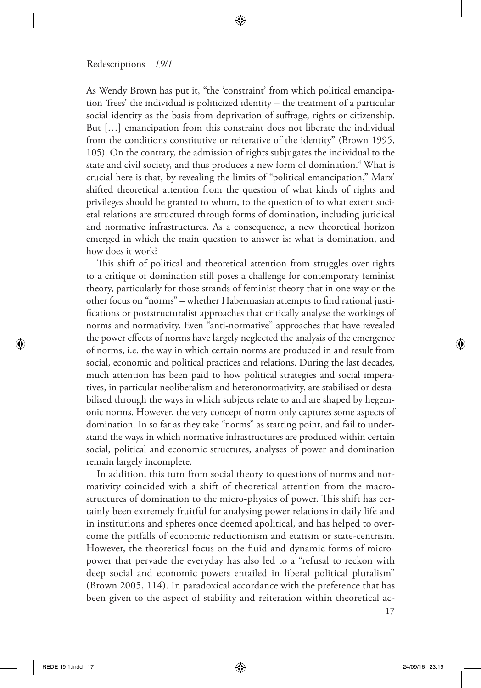As Wendy Brown has put it, "the 'constraint' from which political emancipation 'frees' the individual is politicized identity – the treatment of a particular social identity as the basis from deprivation of suffrage, rights or citizenship. But […] emancipation from this constraint does not liberate the individual from the conditions constitutive or reiterative of the identity" (Brown 1995, 105). On the contrary, the admission of rights subjugates the individual to the state and civil society, and thus produces a new form of domination.<sup>4</sup> What is crucial here is that, by revealing the limits of "political emancipation," Marx' shifted theoretical attention from the question of what kinds of rights and privileges should be granted to whom, to the question of to what extent societal relations are structured through forms of domination, including juridical and normative infrastructures. As a consequence, a new theoretical horizon emerged in which the main question to answer is: what is domination, and how does it work?

⊕

This shift of political and theoretical attention from struggles over rights to a critique of domination still poses a challenge for contemporary feminist theory, particularly for those strands of feminist theory that in one way or the other focus on "norms" – whether Habermasian attempts to find rational justifications or poststructuralist approaches that critically analyse the workings of norms and normativity. Even "anti-normative" approaches that have revealed the power effects of norms have largely neglected the analysis of the emergence of norms, i.e. the way in which certain norms are produced in and result from social, economic and political practices and relations. During the last decades, much attention has been paid to how political strategies and social imperatives, in particular neoliberalism and heteronormativity, are stabilised or destabilised through the ways in which subjects relate to and are shaped by hegemonic norms. However, the very concept of norm only captures some aspects of domination. In so far as they take "norms" as starting point, and fail to understand the ways in which normative infrastructures are produced within certain social, political and economic structures, analyses of power and domination remain largely incomplete.

In addition, this turn from social theory to questions of norms and normativity coincided with a shift of theoretical attention from the macrostructures of domination to the micro-physics of power. This shift has certainly been extremely fruitful for analysing power relations in daily life and in institutions and spheres once deemed apolitical, and has helped to overcome the pitfalls of economic reductionism and etatism or state-centrism. However, the theoretical focus on the fluid and dynamic forms of micropower that pervade the everyday has also led to a "refusal to reckon with deep social and economic powers entailed in liberal political pluralism" (Brown 2005, 114). In paradoxical accordance with the preference that has been given to the aspect of stability and reiteration within theoretical ac-

17

⊕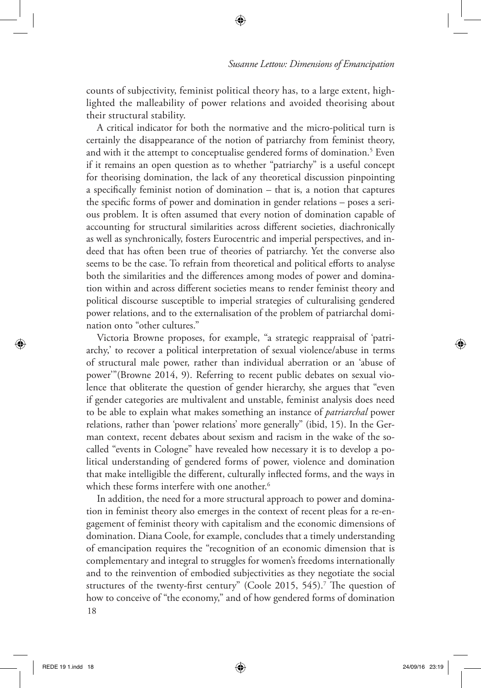counts of subjectivity, feminist political theory has, to a large extent, highlighted the malleability of power relations and avoided theorising about their structural stability.

A critical indicator for both the normative and the micro-political turn is certainly the disappearance of the notion of patriarchy from feminist theory, and with it the attempt to conceptualise gendered forms of domination.<sup>5</sup> Even if it remains an open question as to whether "patriarchy" is a useful concept for theorising domination, the lack of any theoretical discussion pinpointing a specifically feminist notion of domination – that is, a notion that captures the specific forms of power and domination in gender relations – poses a serious problem. It is often assumed that every notion of domination capable of accounting for structural similarities across different societies, diachronically as well as synchronically, fosters Eurocentric and imperial perspectives, and indeed that has often been true of theories of patriarchy. Yet the converse also seems to be the case. To refrain from theoretical and political efforts to analyse both the similarities and the differences among modes of power and domination within and across different societies means to render feminist theory and political discourse susceptible to imperial strategies of culturalising gendered power relations, and to the externalisation of the problem of patriarchal domination onto "other cultures."

Victoria Browne proposes, for example, "a strategic reappraisal of 'patriarchy,' to recover a political interpretation of sexual violence/abuse in terms of structural male power, rather than individual aberration or an 'abuse of power'"(Browne 2014, 9). Referring to recent public debates on sexual violence that obliterate the question of gender hierarchy, she argues that "even if gender categories are multivalent and unstable, feminist analysis does need to be able to explain what makes something an instance of *patriarchal* power relations, rather than 'power relations' more generally" (ibid, 15). In the German context, recent debates about sexism and racism in the wake of the socalled "events in Cologne" have revealed how necessary it is to develop a political understanding of gendered forms of power, violence and domination that make intelligible the different, culturally inflected forms, and the ways in which these forms interfere with one another.<sup>6</sup>

18 In addition, the need for a more structural approach to power and domination in feminist theory also emerges in the context of recent pleas for a re-engagement of feminist theory with capitalism and the economic dimensions of domination. Diana Coole, for example, concludes that a timely understanding of emancipation requires the "recognition of an economic dimension that is complementary and integral to struggles for women's freedoms internationally and to the reinvention of embodied subjectivities as they negotiate the social structures of the twenty-first century" (Coole 2015, 545).<sup>7</sup> The question of how to conceive of "the economy," and of how gendered forms of domination

⊕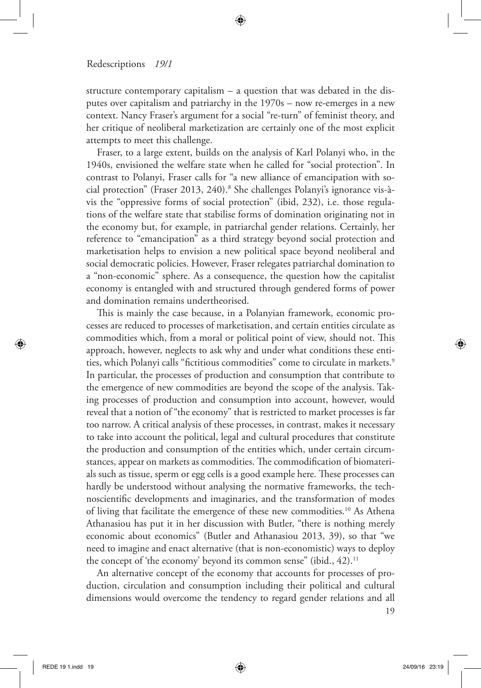structure contemporary capitalism – a question that was debated in the disputes over capitalism and patriarchy in the 1970s – now re-emerges in a new context. Nancy Fraser's argument for a social "re-turn" of feminist theory, and her critique of neoliberal marketization are certainly one of the most explicit attempts to meet this challenge.

⊕

Fraser, to a large extent, builds on the analysis of Karl Polanyi who, in the 1940s, envisioned the welfare state when he called for "social protection". In contrast to Polanyi, Fraser calls for "a new alliance of emancipation with social protection" (Fraser 2013, 240).<sup>8</sup> She challenges Polanyi's ignorance vis-àvis the "oppressive forms of social protection" (ibid, 232), i.e. those regulations of the welfare state that stabilise forms of domination originating not in the economy but, for example, in patriarchal gender relations. Certainly, her reference to "emancipation" as a third strategy beyond social protection and marketisation helps to envision a new political space beyond neoliberal and social democratic policies. However, Fraser relegates patriarchal domination to a "non-economic" sphere. As a consequence, the question how the capitalist economy is entangled with and structured through gendered forms of power and domination remains undertheorised.

This is mainly the case because, in a Polanyian framework, economic processes are reduced to processes of marketisation, and certain entities circulate as commodities which, from a moral or political point of view, should not. This approach, however, neglects to ask why and under what conditions these entities, which Polanyi calls "fictitious commodities" come to circulate in markets.9 In particular, the processes of production and consumption that contribute to the emergence of new commodities are beyond the scope of the analysis. Taking processes of production and consumption into account, however, would reveal that a notion of "the economy" that is restricted to market processes is far too narrow. A critical analysis of these processes, in contrast, makes it necessary to take into account the political, legal and cultural procedures that constitute the production and consumption of the entities which, under certain circumstances, appear on markets as commodities. The commodification of biomaterials such as tissue, sperm or egg cells is a good example here. These processes can hardly be understood without analysing the normative frameworks, the technoscientific developments and imaginaries, and the transformation of modes of living that facilitate the emergence of these new commodities.10 As Athena Athanasiou has put it in her discussion with Butler, "there is nothing merely economic about economics" (Butler and Athanasiou 2013, 39), so that "we need to imagine and enact alternative (that is non-economistic) ways to deploy the concept of 'the economy' beyond its common sense" (ibid., 42).<sup>11</sup>

An alternative concept of the economy that accounts for processes of production, circulation and consumption including their political and cultural dimensions would overcome the tendency to regard gender relations and all

19

⊕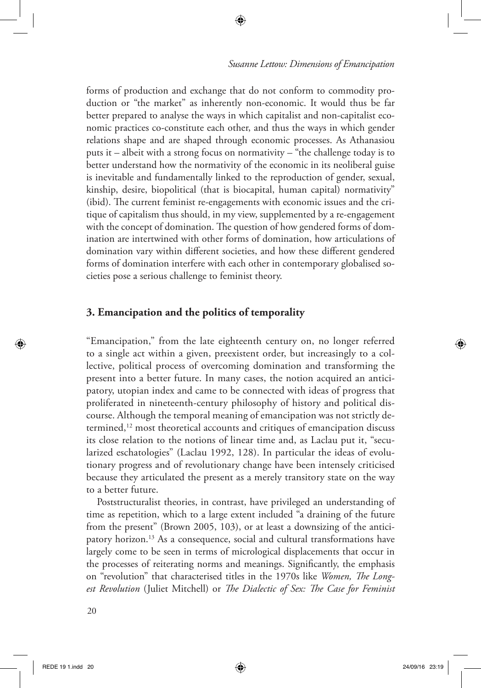# ⊕

## *Susanne Lettow: Dimensions of Emancipation*

forms of production and exchange that do not conform to commodity production or "the market" as inherently non-economic. It would thus be far better prepared to analyse the ways in which capitalist and non-capitalist economic practices co-constitute each other, and thus the ways in which gender relations shape and are shaped through economic processes. As Athanasiou puts it – albeit with a strong focus on normativity – "the challenge today is to better understand how the normativity of the economic in its neoliberal guise is inevitable and fundamentally linked to the reproduction of gender, sexual, kinship, desire, biopolitical (that is biocapital, human capital) normativity" (ibid). The current feminist re-engagements with economic issues and the critique of capitalism thus should, in my view, supplemented by a re-engagement with the concept of domination. The question of how gendered forms of domination are intertwined with other forms of domination, how articulations of domination vary within different societies, and how these different gendered forms of domination interfere with each other in contemporary globalised societies pose a serious challenge to feminist theory.

# **3. Emancipation and the politics of temporality**

"Emancipation," from the late eighteenth century on, no longer referred to a single act within a given, preexistent order, but increasingly to a collective, political process of overcoming domination and transforming the present into a better future. In many cases, the notion acquired an anticipatory, utopian index and came to be connected with ideas of progress that proliferated in nineteenth-century philosophy of history and political discourse. Although the temporal meaning of emancipation was not strictly determined,<sup>12</sup> most theoretical accounts and critiques of emancipation discuss its close relation to the notions of linear time and, as Laclau put it, "secularized eschatologies" (Laclau 1992, 128). In particular the ideas of evolutionary progress and of revolutionary change have been intensely criticised because they articulated the present as a merely transitory state on the way to a better future.

Poststructuralist theories, in contrast, have privileged an understanding of time as repetition, which to a large extent included "a draining of the future from the present" (Brown 2005, 103), or at least a downsizing of the anticipatory horizon.13 As a consequence, social and cultural transformations have largely come to be seen in terms of micrological displacements that occur in the processes of reiterating norms and meanings. Significantly, the emphasis on "revolution" that characterised titles in the 1970s like *Women, The Longest Revolution* (Juliet Mitchell) or *The Dialectic of Sex: The Case for Feminist* 

⊕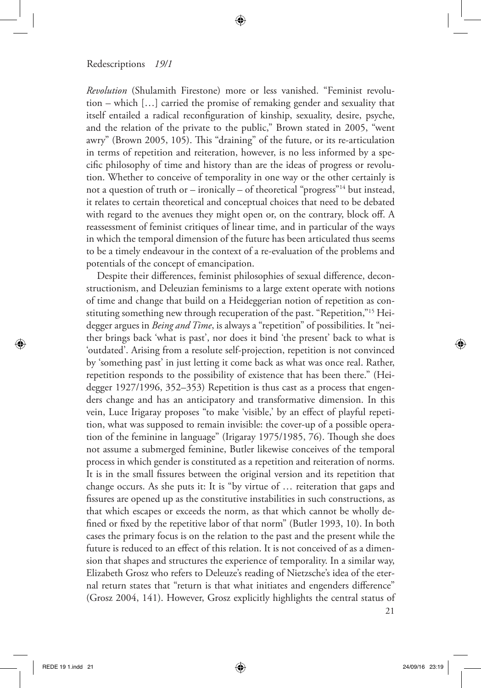# ⊕

# Redescriptions *19/1*

*Revolution* (Shulamith Firestone) more or less vanished. "Feminist revolution – which […] carried the promise of remaking gender and sexuality that itself entailed a radical reconfiguration of kinship, sexuality, desire, psyche, and the relation of the private to the public," Brown stated in 2005, "went awry" (Brown 2005, 105). This "draining" of the future, or its re-articulation in terms of repetition and reiteration, however, is no less informed by a specific philosophy of time and history than are the ideas of progress or revolution. Whether to conceive of temporality in one way or the other certainly is not a question of truth or – ironically – of theoretical "progress"<sup>14</sup> but instead, it relates to certain theoretical and conceptual choices that need to be debated with regard to the avenues they might open or, on the contrary, block off. A reassessment of feminist critiques of linear time, and in particular of the ways in which the temporal dimension of the future has been articulated thus seems to be a timely endeavour in the context of a re-evaluation of the problems and potentials of the concept of emancipation.

Despite their differences, feminist philosophies of sexual difference, deconstructionism, and Deleuzian feminisms to a large extent operate with notions of time and change that build on a Heideggerian notion of repetition as constituting something new through recuperation of the past. "Repetition,"15 Heidegger argues in *Being and Time*, is always a "repetition" of possibilities. It "neither brings back 'what is past', nor does it bind 'the present' back to what is 'outdated'. Arising from a resolute self-projection, repetition is not convinced by 'something past' in just letting it come back as what was once real. Rather, repetition responds to the possibility of existence that has been there." (Heidegger 1927/1996, 352–353) Repetition is thus cast as a process that engenders change and has an anticipatory and transformative dimension. In this vein, Luce Irigaray proposes "to make 'visible,' by an effect of playful repetition, what was supposed to remain invisible: the cover-up of a possible operation of the feminine in language" (Irigaray 1975/1985, 76). Though she does not assume a submerged feminine, Butler likewise conceives of the temporal process in which gender is constituted as a repetition and reiteration of norms. It is in the small fissures between the original version and its repetition that change occurs. As she puts it: It is "by virtue of … reiteration that gaps and fissures are opened up as the constitutive instabilities in such constructions, as that which escapes or exceeds the norm, as that which cannot be wholly defined or fixed by the repetitive labor of that norm" (Butler 1993, 10). In both cases the primary focus is on the relation to the past and the present while the future is reduced to an effect of this relation. It is not conceived of as a dimension that shapes and structures the experience of temporality. In a similar way, Elizabeth Grosz who refers to Deleuze's reading of Nietzsche's idea of the eternal return states that "return is that what initiates and engenders difference" (Grosz 2004, 141). However, Grosz explicitly highlights the central status of

21

⊕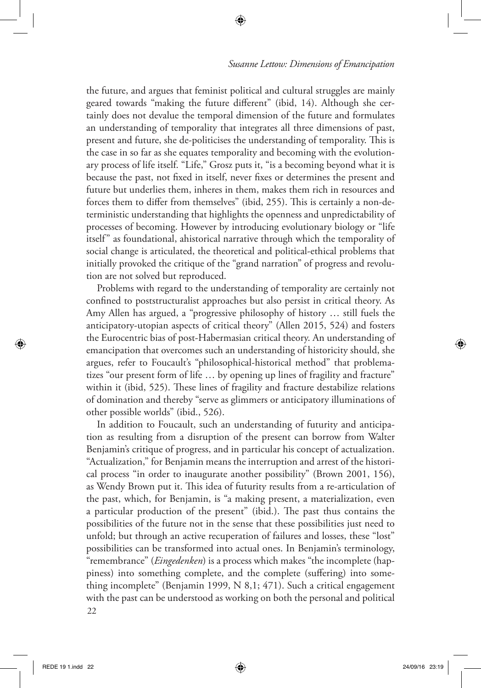the future, and argues that feminist political and cultural struggles are mainly geared towards "making the future different" (ibid, 14). Although she certainly does not devalue the temporal dimension of the future and formulates an understanding of temporality that integrates all three dimensions of past, present and future, she de-politicises the understanding of temporality. This is the case in so far as she equates temporality and becoming with the evolutionary process of life itself. "Life," Grosz puts it, "is a becoming beyond what it is because the past, not fixed in itself, never fixes or determines the present and future but underlies them, inheres in them, makes them rich in resources and forces them to differ from themselves" (ibid, 255). This is certainly a non-deterministic understanding that highlights the openness and unpredictability of processes of becoming. However by introducing evolutionary biology or "life itself" as foundational, ahistorical narrative through which the temporality of social change is articulated, the theoretical and political-ethical problems that initially provoked the critique of the "grand narration" of progress and revolution are not solved but reproduced.

⊕

Problems with regard to the understanding of temporality are certainly not confined to poststructuralist approaches but also persist in critical theory. As Amy Allen has argued, a "progressive philosophy of history … still fuels the anticipatory-utopian aspects of critical theory" (Allen 2015, 524) and fosters the Eurocentric bias of post-Habermasian critical theory. An understanding of emancipation that overcomes such an understanding of historicity should, she argues, refer to Foucault's "philosophical-historical method" that problematizes "our present form of life … by opening up lines of fragility and fracture" within it (ibid, 525). These lines of fragility and fracture destabilize relations of domination and thereby "serve as glimmers or anticipatory illuminations of other possible worlds" (ibid., 526).

22 In addition to Foucault, such an understanding of futurity and anticipation as resulting from a disruption of the present can borrow from Walter Benjamin's critique of progress, and in particular his concept of actualization. "Actualization," for Benjamin means the interruption and arrest of the historical process "in order to inaugurate another possibility" (Brown 2001, 156), as Wendy Brown put it. This idea of futurity results from a re-articulation of the past, which, for Benjamin, is "a making present, a materialization, even a particular production of the present" (ibid.). The past thus contains the possibilities of the future not in the sense that these possibilities just need to unfold; but through an active recuperation of failures and losses, these "lost" possibilities can be transformed into actual ones. In Benjamin's terminology, "remembrance" (*Eingedenken*) is a process which makes "the incomplete (happiness) into something complete, and the complete (suffering) into something incomplete" (Benjamin 1999, N 8,1; 471). Such a critical engagement with the past can be understood as working on both the personal and political

⊕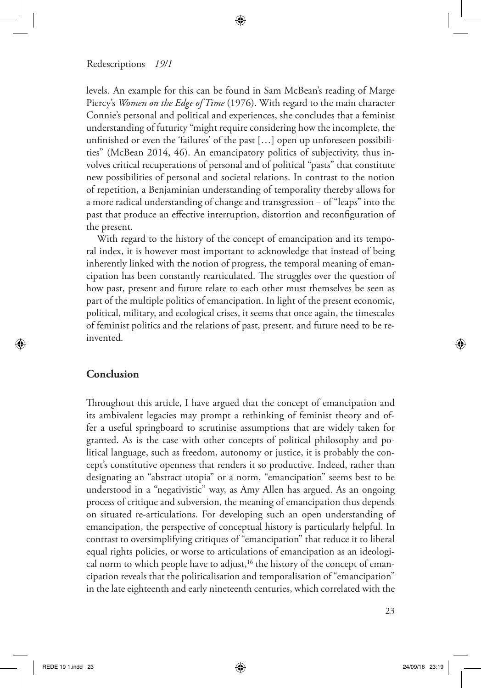levels. An example for this can be found in Sam McBean's reading of Marge Piercy's *Women on the Edge of Time* (1976). With regard to the main character Connie's personal and political and experiences, she concludes that a feminist understanding of futurity "might require considering how the incomplete, the unfinished or even the 'failures' of the past […] open up unforeseen possibilities" (McBean 2014, 46). An emancipatory politics of subjectivity, thus involves critical recuperations of personal and of political "pasts" that constitute new possibilities of personal and societal relations. In contrast to the notion of repetition, a Benjaminian understanding of temporality thereby allows for a more radical understanding of change and transgression – of "leaps" into the past that produce an effective interruption, distortion and reconfiguration of the present.

⊕

With regard to the history of the concept of emancipation and its temporal index, it is however most important to acknowledge that instead of being inherently linked with the notion of progress, the temporal meaning of emancipation has been constantly rearticulated. The struggles over the question of how past, present and future relate to each other must themselves be seen as part of the multiple politics of emancipation. In light of the present economic, political, military, and ecological crises, it seems that once again, the timescales of feminist politics and the relations of past, present, and future need to be reinvented.

# **Conclusion**

⊕

Throughout this article, I have argued that the concept of emancipation and its ambivalent legacies may prompt a rethinking of feminist theory and offer a useful springboard to scrutinise assumptions that are widely taken for granted. As is the case with other concepts of political philosophy and political language, such as freedom, autonomy or justice, it is probably the concept's constitutive openness that renders it so productive. Indeed, rather than designating an "abstract utopia" or a norm, "emancipation" seems best to be understood in a "negativistic" way, as Amy Allen has argued. As an ongoing process of critique and subversion, the meaning of emancipation thus depends on situated re-articulations. For developing such an open understanding of emancipation, the perspective of conceptual history is particularly helpful. In contrast to oversimplifying critiques of "emancipation" that reduce it to liberal equal rights policies, or worse to articulations of emancipation as an ideological norm to which people have to adjust,<sup>16</sup> the history of the concept of emancipation reveals that the politicalisation and temporalisation of "emancipation" in the late eighteenth and early nineteenth centuries, which correlated with the

↔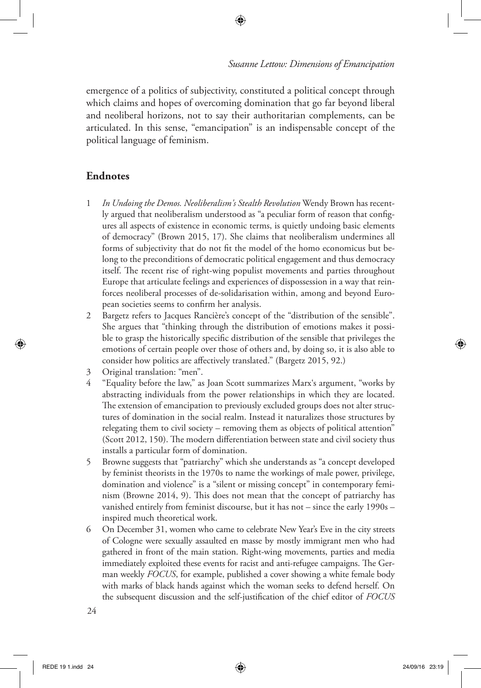emergence of a politics of subjectivity, constituted a political concept through which claims and hopes of overcoming domination that go far beyond liberal and neoliberal horizons, not to say their authoritarian complements, can be articulated. In this sense, "emancipation" is an indispensable concept of the political language of feminism.

# **Endnotes**

- 1 *In Undoing the Demos. Neoliberalism's Stealth Revolution* Wendy Brown has recently argued that neoliberalism understood as "a peculiar form of reason that configures all aspects of existence in economic terms, is quietly undoing basic elements of democracy" (Brown 2015, 17). She claims that neoliberalism undermines all forms of subjectivity that do not fit the model of the homo economicus but belong to the preconditions of democratic political engagement and thus democracy itself. The recent rise of right-wing populist movements and parties throughout Europe that articulate feelings and experiences of dispossession in a way that reinforces neoliberal processes of de-solidarisation within, among and beyond European societies seems to confirm her analysis.
- 2 Bargetz refers to Jacques Rancière's concept of the "distribution of the sensible". She argues that "thinking through the distribution of emotions makes it possible to grasp the historically specific distribution of the sensible that privileges the emotions of certain people over those of others and, by doing so, it is also able to consider how politics are affectively translated." (Bargetz 2015, 92.)
- 3 Original translation: "men".
- 4 "Equality before the law," as Joan Scott summarizes Marx's argument, "works by abstracting individuals from the power relationships in which they are located. The extension of emancipation to previously excluded groups does not alter structures of domination in the social realm. Instead it naturalizes those structures by relegating them to civil society – removing them as objects of political attention" (Scott 2012, 150). The modern differentiation between state and civil society thus installs a particular form of domination.
- 5 Browne suggests that "patriarchy" which she understands as "a concept developed by feminist theorists in the 1970s to name the workings of male power, privilege, domination and violence" is a "silent or missing concept" in contemporary feminism (Browne 2014, 9). This does not mean that the concept of patriarchy has vanished entirely from feminist discourse, but it has not – since the early 1990s – inspired much theoretical work.
- 6 On December 31, women who came to celebrate New Year's Eve in the city streets of Cologne were sexually assaulted en masse by mostly immigrant men who had gathered in front of the main station. Right-wing movements, parties and media immediately exploited these events for racist and anti-refugee campaigns. The German weekly *FOCUS*, for example, published a cover showing a white female body with marks of black hands against which the woman seeks to defend herself. On the subsequent discussion and the self-justification of the chief editor of *FOCUS*

⊕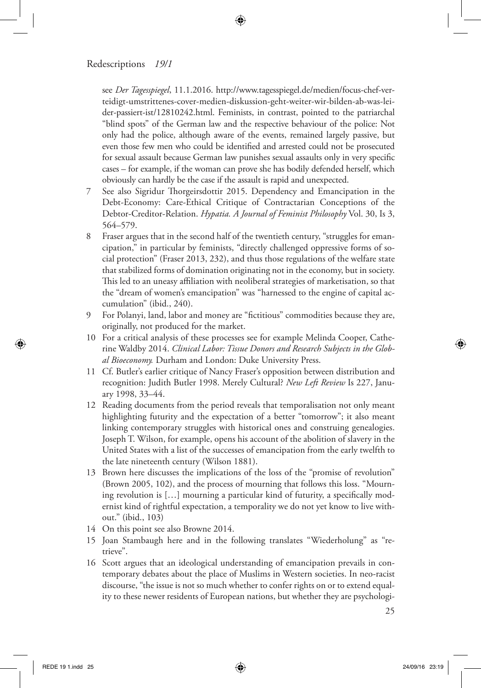see *Der Tagesspiegel*, 11.1.2016. http://www.tagesspiegel.de/medien/focus-chef-verteidigt-umstrittenes-cover-medien-diskussion-geht-weiter-wir-bilden-ab-was-leider-passiert-ist/12810242.html. Feminists, in contrast, pointed to the patriarchal "blind spots" of the German law and the respective behaviour of the police: Not only had the police, although aware of the events, remained largely passive, but even those few men who could be identified and arrested could not be prosecuted for sexual assault because German law punishes sexual assaults only in very specific cases – for example, if the woman can prove she has bodily defended herself, which obviously can hardly be the case if the assault is rapid and unexpected.

- 7 See also Sigridur Thorgeirsdottir 2015. Dependency and Emancipation in the Debt-Economy: Care-Ethical Critique of Contractarian Conceptions of the Debtor-Creditor-Relation. *Hypatia. A Journal of Feminist Philosophy* Vol. 30, Is 3, 564–579.
- 8 Fraser argues that in the second half of the twentieth century, "struggles for emancipation," in particular by feminists, "directly challenged oppressive forms of social protection" (Fraser 2013, 232), and thus those regulations of the welfare state that stabilized forms of domination originating not in the economy, but in society. This led to an uneasy affiliation with neoliberal strategies of marketisation, so that the "dream of women's emancipation" was "harnessed to the engine of capital accumulation" (ibid., 240).
- 9 For Polanyi, land, labor and money are "fictitious" commodities because they are, originally, not produced for the market.
- 10 For a critical analysis of these processes see for example Melinda Cooper, Catherine Waldby 2014. *Clinical Labor: Tissue Donors and Research Subjects in the Global Bioeconomy.* Durham and London: Duke University Press.
- 11 Cf. Butler's earlier critique of Nancy Fraser's opposition between distribution and recognition: Judith Butler 1998. Merely Cultural? *New Left Review* Is 227, January 1998, 33–44.
- 12 Reading documents from the period reveals that temporalisation not only meant highlighting futurity and the expectation of a better "tomorrow"; it also meant linking contemporary struggles with historical ones and construing genealogies. Joseph T. Wilson, for example, opens his account of the abolition of slavery in the United States with a list of the successes of emancipation from the early twelfth to the late nineteenth century (Wilson 1881).
- 13 Brown here discusses the implications of the loss of the "promise of revolution" (Brown 2005, 102), and the process of mourning that follows this loss. "Mourning revolution is […] mourning a particular kind of futurity, a specifically modernist kind of rightful expectation, a temporality we do not yet know to live without." (ibid., 103)
- 14 On this point see also Browne 2014.
- 15 Joan Stambaugh here and in the following translates "Wiederholung" as "retrieve".
- 16 Scott argues that an ideological understanding of emancipation prevails in contemporary debates about the place of Muslims in Western societies. In neo-racist discourse, "the issue is not so much whether to confer rights on or to extend equality to these newer residents of European nations, but whether they are psychologi-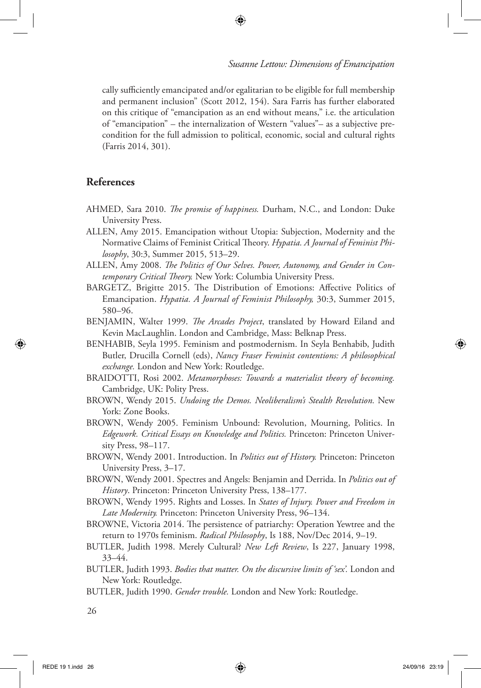cally sufficiently emancipated and/or egalitarian to be eligible for full membership and permanent inclusion" (Scott 2012, 154). Sara Farris has further elaborated on this critique of "emancipation as an end without means," i.e. the articulation of "emancipation" – the internalization of Western "values"– as a subjective precondition for the full admission to political, economic, social and cultural rights (Farris 2014, 301).

# **References**

- AHMED, Sara 2010. *The promise of happiness.* Durham, N.C., and London: Duke University Press.
- ALLEN, Amy 2015. Emancipation without Utopia: Subjection, Modernity and the Normative Claims of Feminist Critical Theory. *Hypatia. A Journal of Feminist Philosophy*, 30:3, Summer 2015, 513–29.
- ALLEN, Amy 2008. *The Politics of Our Selves. Power, Autonomy, and Gender in Contemporary Critical Theory.* New York: Columbia University Press.
- BARGETZ, Brigitte 2015. The Distribution of Emotions: Affective Politics of Emancipation. *Hypatia. A Journal of Feminist Philosophy,* 30:3, Summer 2015, 580–96.
- BENJAMIN, Walter 1999. *The Arcades Project*, translated by Howard Eiland and Kevin MacLaughlin. London and Cambridge, Mass: Belknap Press.
- BENHABIB, Seyla 1995. Feminism and postmodernism. In Seyla Benhabib, Judith Butler, Drucilla Cornell (eds), *Nancy Fraser Feminist contentions: A philosophical exchange.* London and New York: Routledge.
- BRAIDOTTI, Rosi 2002. *Metamorphoses: Towards a materialist theory of becoming.*  Cambridge, UK: Polity Press.
- BROWN, Wendy 2015. *Undoing the Demos. Neoliberalism's Stealth Revolution.* New York: Zone Books.
- BROWN, Wendy 2005. Feminism Unbound: Revolution, Mourning, Politics. In *Edgework. Critical Essays on Knowledge and Politics.* Princeton: Princeton University Press, 98–117.
- BROWN, Wendy 2001. Introduction. In *Politics out of History.* Princeton: Princeton University Press, 3–17.
- BROWN, Wendy 2001. Spectres and Angels: Benjamin and Derrida. In *Politics out of History*. Princeton: Princeton University Press, 138–177.
- BROWN, Wendy 1995. Rights and Losses. In *States of Injury. Power and Freedom in Late Modernity.* Princeton: Princeton University Press, 96–134.
- BROWNE, Victoria 2014. The persistence of patriarchy: Operation Yewtree and the return to 1970s feminism. *Radical Philosophy*, Is 188, Nov/Dec 2014, 9–19.
- BUTLER, Judith 1998. Merely Cultural? *New Left Review*, Is 227, January 1998, 33–44.
- BUTLER, Judith 1993. *Bodies that matter. On the discursive limits of 'sex'.* London and New York: Routledge.
- BUTLER, Judith 1990. *Gender trouble.* London and New York: Routledge.

◈

<sup>26</sup>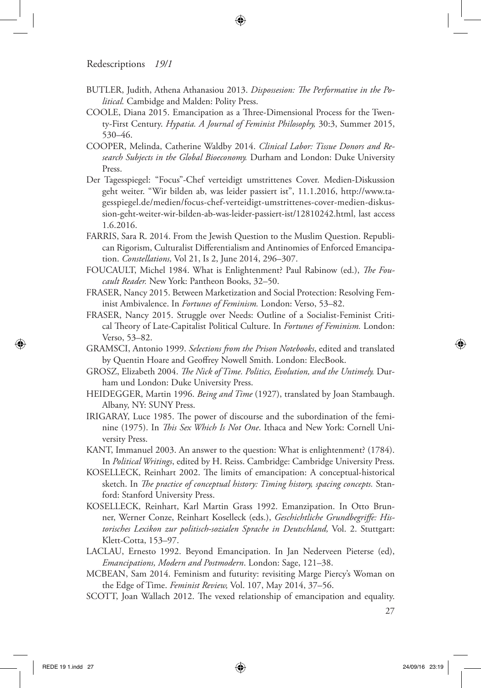- BUTLER, Judith, Athena Athanasiou 2013. *Dispossesion: The Performative in the Political.* Cambidge and Malden: Polity Press.
- COOLE, Diana 2015. Emancipation as a Three-Dimensional Process for the Twenty-First Century. *Hypatia. A Journal of Feminist Philosophy,* 30:3, Summer 2015, 530–46.
- COOPER, Melinda, Catherine Waldby 2014. *Clinical Labor: Tissue Donors and Research Subjects in the Global Bioeconomy.* Durham and London: Duke University Press.
- Der Tagesspiegel: "Focus"-Chef verteidigt umstrittenes Cover. Medien-Diskussion geht weiter. "Wir bilden ab, was leider passiert ist", 11.1.2016, http://www.tagesspiegel.de/medien/focus-chef-verteidigt-umstrittenes-cover-medien-diskussion-geht-weiter-wir-bilden-ab-was-leider-passiert-ist/12810242.html, last access 1.6.2016.
- FARRIS, Sara R. 2014. From the Jewish Question to the Muslim Question. Republican Rigorism, Culturalist Differentialism and Antinomies of Enforced Emancipation. *Constellations,* Vol 21, Is 2, June 2014, 296–307.
- FOUCAULT, Michel 1984. What is Enlightenment? Paul Rabinow (ed.), *The Foucault Reader.* New York: Pantheon Books, 32–50.
- FRASER, Nancy 2015. Between Marketization and Social Protection: Resolving Feminist Ambivalence. In *Fortunes of Feminism.* London: Verso, 53–82.
- FRASER, Nancy 2015. Struggle over Needs: Outline of a Socialist-Feminist Critical Theory of Late-Capitalist Political Culture. In *Fortunes of Feminism.* London: Verso, 53–82.
- GRAMSCI, Antonio 1999. *Selections from the Prison Notebooks*, edited and translated by Quentin Hoare and Geoffrey Nowell Smith. London: ElecBook.
- GROSZ, Elizabeth 2004. *The Nick of Time. Politics, Evolution, and the Untimely.* Durham und London: Duke University Press.
- HEIDEGGER, Martin 1996. *Being and Time* (1927), translated by Joan Stambaugh. Albany, NY: SUNY Press.
- IRIGARAY, Luce 1985. The power of discourse and the subordination of the feminine (1975). In *This Sex Which Is Not One*. Ithaca and New York: Cornell University Press.
- KANT, Immanuel 2003. An answer to the question: What is enlightenment? (1784). In *Political Writings*, edited by H. Reiss. Cambridge: Cambridge University Press.
- KOSELLECK, Reinhart 2002. The limits of emancipation: A conceptual-historical sketch. In *The practice of conceptual history: Timing history, spacing concepts.* Stanford: Stanford University Press.
- KOSELLECK, Reinhart, Karl Martin Grass 1992. Emanzipation. In Otto Brunner, Werner Conze, Reinhart Koselleck (eds.), *Geschichtliche Grundbegriffe: Historisches Lexikon zur politisch-sozialen Sprache in Deutschland,* Vol. 2. Stuttgart: Klett-Cotta, 153–97.
- LACLAU, Ernesto 1992. Beyond Emancipation. In Jan Nederveen Pieterse (ed), *Emancipations, Modern and Postmodern*. London: Sage, 121–38.
- MCBEAN, Sam 2014. Feminism and futurity: revisiting Marge Piercy's Woman on the Edge of Time. *Feminist Review,* Vol. 107, May 2014, 37–56.
- SCOTT, Joan Wallach 2012. The vexed relationship of emancipation and equality.

◈